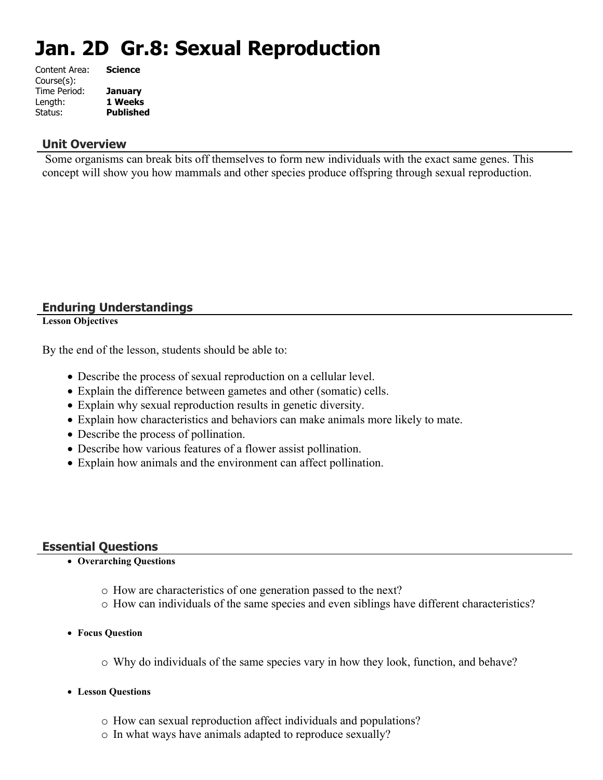# **Jan. 2D Gr.8: Sexual Reproduction**

| Content Area: | <b>Science</b>   |
|---------------|------------------|
| Course(s):    |                  |
| Time Period:  | <b>January</b>   |
| Length:       | 1 Weeks          |
| Status:       | <b>Published</b> |
|               |                  |

#### **Unit Overview**

 Some organisms can break bits off themselves to form new individuals with the exact same genes. This concept will show you how mammals and other species produce offspring through sexual reproduction.

#### **Enduring Understandings**

**Lesson Objectives**

By the end of the lesson, students should be able to:

- Describe the process of sexual reproduction on a cellular level.
- Explain the difference between gametes and other (somatic) cells.
- Explain why sexual reproduction results in genetic diversity.
- Explain how characteristics and behaviors can make animals more likely to mate.
- Describe the process of pollination.
- Describe how various features of a flower assist pollination.
- Explain how animals and the environment can affect pollination.

#### **Essential Questions**

#### **Overarching Questions**

- o How are characteristics of one generation passed to the next?
- o How can individuals of the same species and even siblings have different characteristics?
- **Focus Question**
	- o Why do individuals of the same species vary in how they look, function, and behave?
- **Lesson Questions**
	- o How can sexual reproduction affect individuals and populations?
	- o In what ways have animals adapted to reproduce sexually?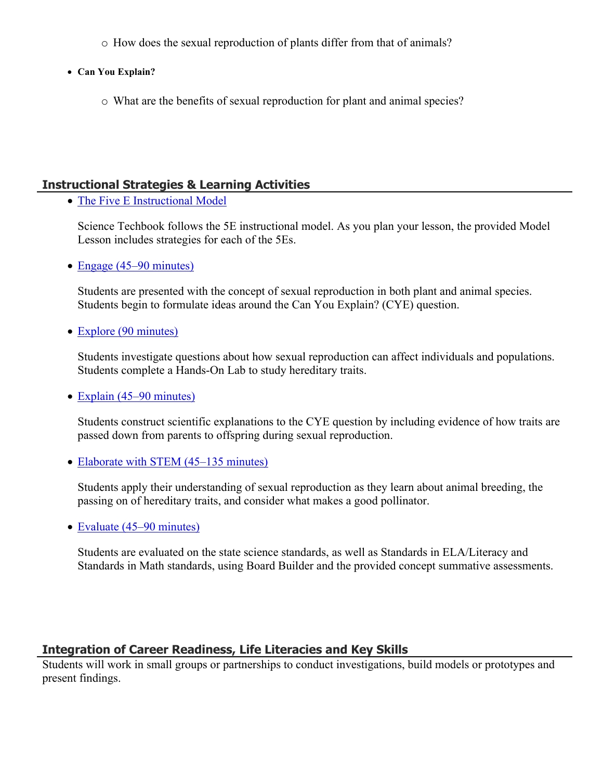- o How does the sexual reproduction of plants differ from that of animals?
- **Can You Explain?**
	- o What are the benefits of sexual reproduction for plant and animal species?

#### **Instructional Strategies & Learning Activities**

• [The Five E Instructional Model](https://app.discoveryeducation.com/learn/techbook/units/93c6eda5-eac8-46a9-945f-6a86e10f0bc5/concepts/febe1fa5-3c74-4a79-a08a-8c0670e5e6e9/lesson/sections/387b0bc2-1c65-41dc-98e9-467a2b3ef840#ad028386-82a8-422c-80c3-602eb61fe8e5)

Science Techbook follows the 5E instructional model. As you plan your lesson, the provided Model Lesson includes strategies for each of the 5Es.

• [Engage \(45–90 minutes\)](https://app.discoveryeducation.com/learn/techbook/units/93c6eda5-eac8-46a9-945f-6a86e10f0bc5/concepts/febe1fa5-3c74-4a79-a08a-8c0670e5e6e9/lesson/sections/387b0bc2-1c65-41dc-98e9-467a2b3ef840#033ef4f9-3a3b-4a2c-af41-33b31218a2e0)

Students are presented with the concept of sexual reproduction in both plant and animal species. Students begin to formulate ideas around the Can You Explain? (CYE) question.

• [Explore \(90 minutes\)](https://app.discoveryeducation.com/learn/techbook/units/93c6eda5-eac8-46a9-945f-6a86e10f0bc5/concepts/febe1fa5-3c74-4a79-a08a-8c0670e5e6e9/lesson/sections/387b0bc2-1c65-41dc-98e9-467a2b3ef840#6b4b0f1f-1bc3-4805-ab19-9b02c79e5b1f)

Students investigate questions about how sexual reproduction can affect individuals and populations. Students complete a Hands-On Lab to study hereditary traits.

• [Explain \(45–90 minutes\)](https://app.discoveryeducation.com/learn/techbook/units/93c6eda5-eac8-46a9-945f-6a86e10f0bc5/concepts/febe1fa5-3c74-4a79-a08a-8c0670e5e6e9/lesson/sections/387b0bc2-1c65-41dc-98e9-467a2b3ef840#c6e718fc-c108-4642-8573-6a49ceec10ee)

Students construct scientific explanations to the CYE question by including evidence of how traits are passed down from parents to offspring during sexual reproduction.

• [Elaborate with STEM \(45–135 minutes\)](https://app.discoveryeducation.com/learn/techbook/units/93c6eda5-eac8-46a9-945f-6a86e10f0bc5/concepts/febe1fa5-3c74-4a79-a08a-8c0670e5e6e9/lesson/sections/387b0bc2-1c65-41dc-98e9-467a2b3ef840#76b40704-1979-4d46-9767-a5ba8324ba8c)

Students apply their understanding of sexual reproduction as they learn about animal breeding, the passing on of hereditary traits, and consider what makes a good pollinator.

• [Evaluate \(45–90 minutes\)](https://app.discoveryeducation.com/learn/techbook/units/93c6eda5-eac8-46a9-945f-6a86e10f0bc5/concepts/febe1fa5-3c74-4a79-a08a-8c0670e5e6e9/lesson/sections/387b0bc2-1c65-41dc-98e9-467a2b3ef840#04715760-af1a-45d2-8b6e-ddf761f4e0f6)

Students are evaluated on the state science standards, as well as Standards in ELA/Literacy and Standards in Math standards, using Board Builder and the provided concept summative assessments.

### **Integration of Career Readiness, Life Literacies and Key Skills**

Students will work in small groups or partnerships to conduct investigations, build models or prototypes and present findings.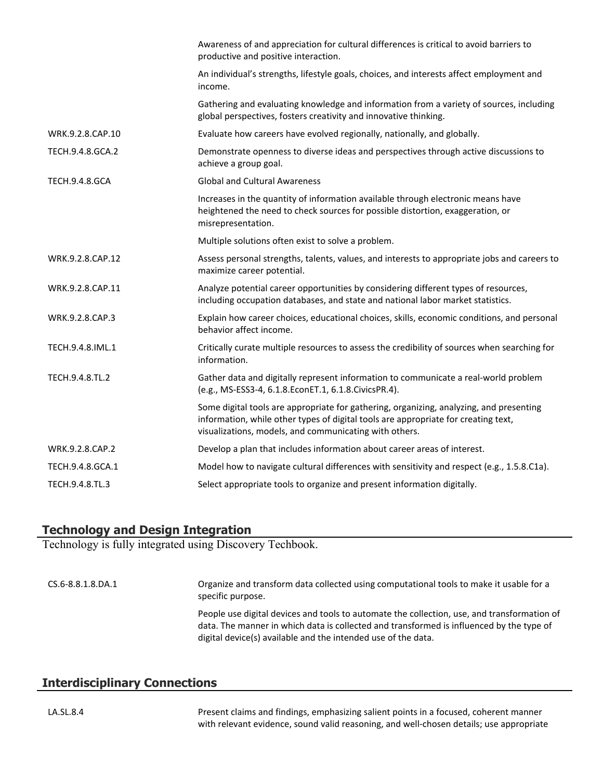|                       | Awareness of and appreciation for cultural differences is critical to avoid barriers to<br>productive and positive interaction.                                                                                                         |
|-----------------------|-----------------------------------------------------------------------------------------------------------------------------------------------------------------------------------------------------------------------------------------|
|                       | An individual's strengths, lifestyle goals, choices, and interests affect employment and<br>income.                                                                                                                                     |
|                       | Gathering and evaluating knowledge and information from a variety of sources, including<br>global perspectives, fosters creativity and innovative thinking.                                                                             |
| WRK.9.2.8.CAP.10      | Evaluate how careers have evolved regionally, nationally, and globally.                                                                                                                                                                 |
| TECH.9.4.8.GCA.2      | Demonstrate openness to diverse ideas and perspectives through active discussions to<br>achieve a group goal.                                                                                                                           |
| <b>TECH.9.4.8.GCA</b> | <b>Global and Cultural Awareness</b>                                                                                                                                                                                                    |
|                       | Increases in the quantity of information available through electronic means have<br>heightened the need to check sources for possible distortion, exaggeration, or<br>misrepresentation.                                                |
|                       | Multiple solutions often exist to solve a problem.                                                                                                                                                                                      |
| WRK.9.2.8.CAP.12      | Assess personal strengths, talents, values, and interests to appropriate jobs and careers to<br>maximize career potential.                                                                                                              |
| WRK.9.2.8.CAP.11      | Analyze potential career opportunities by considering different types of resources,<br>including occupation databases, and state and national labor market statistics.                                                                  |
| WRK.9.2.8.CAP.3       | Explain how career choices, educational choices, skills, economic conditions, and personal<br>behavior affect income.                                                                                                                   |
| TECH.9.4.8.IML.1      | Critically curate multiple resources to assess the credibility of sources when searching for<br>information.                                                                                                                            |
| TECH.9.4.8.TL.2       | Gather data and digitally represent information to communicate a real-world problem<br>(e.g., MS-ESS3-4, 6.1.8.EconET.1, 6.1.8.CivicsPR.4).                                                                                             |
|                       | Some digital tools are appropriate for gathering, organizing, analyzing, and presenting<br>information, while other types of digital tools are appropriate for creating text,<br>visualizations, models, and communicating with others. |
| WRK.9.2.8.CAP.2       | Develop a plan that includes information about career areas of interest.                                                                                                                                                                |
| TECH.9.4.8.GCA.1      | Model how to navigate cultural differences with sensitivity and respect (e.g., 1.5.8.C1a).                                                                                                                                              |
| TECH.9.4.8.TL.3       | Select appropriate tools to organize and present information digitally.                                                                                                                                                                 |

#### **Technology and Design Integration**

Technology is fully integrated using Discovery Techbook.

CS.6-8.8.1.8.DA.1 Organize and transform data collected using computational tools to make it usable for a specific purpose. People use digital devices and tools to automate the collection, use, and transformation of data. The manner in which data is collected and transformed is influenced by the type of digital device(s) available and the intended use of the data.

### **Interdisciplinary Connections**

LA.SL.8.4 Present claims and findings, emphasizing salient points in a focused, coherent manner with relevant evidence, sound valid reasoning, and well-chosen details; use appropriate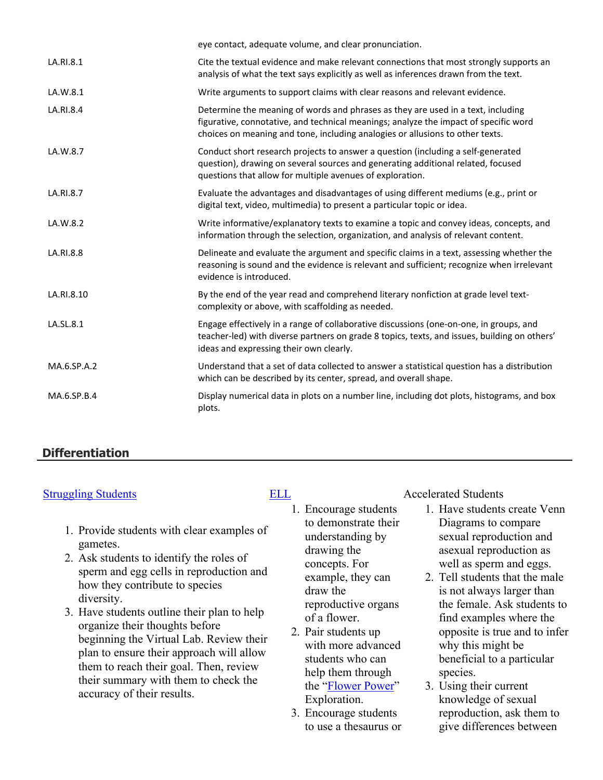|             | eye contact, adequate volume, and clear pronunciation.                                                                                                                                                                                                    |
|-------------|-----------------------------------------------------------------------------------------------------------------------------------------------------------------------------------------------------------------------------------------------------------|
| LA.RI.8.1   | Cite the textual evidence and make relevant connections that most strongly supports an<br>analysis of what the text says explicitly as well as inferences drawn from the text.                                                                            |
| LA.W.8.1    | Write arguments to support claims with clear reasons and relevant evidence.                                                                                                                                                                               |
| LA.RI.8.4   | Determine the meaning of words and phrases as they are used in a text, including<br>figurative, connotative, and technical meanings; analyze the impact of specific word<br>choices on meaning and tone, including analogies or allusions to other texts. |
| LA.W.8.7    | Conduct short research projects to answer a question (including a self-generated<br>question), drawing on several sources and generating additional related, focused<br>questions that allow for multiple avenues of exploration.                         |
| LA.RI.8.7   | Evaluate the advantages and disadvantages of using different mediums (e.g., print or<br>digital text, video, multimedia) to present a particular topic or idea.                                                                                           |
| LA.W.8.2    | Write informative/explanatory texts to examine a topic and convey ideas, concepts, and<br>information through the selection, organization, and analysis of relevant content.                                                                              |
| LA.RI.8.8   | Delineate and evaluate the argument and specific claims in a text, assessing whether the<br>reasoning is sound and the evidence is relevant and sufficient; recognize when irrelevant<br>evidence is introduced.                                          |
| LA.RI.8.10  | By the end of the year read and comprehend literary nonfiction at grade level text-<br>complexity or above, with scaffolding as needed.                                                                                                                   |
| LA.SL.8.1   | Engage effectively in a range of collaborative discussions (one-on-one, in groups, and<br>teacher-led) with diverse partners on grade 8 topics, texts, and issues, building on others'<br>ideas and expressing their own clearly.                         |
| MA.6.SP.A.2 | Understand that a set of data collected to answer a statistical question has a distribution<br>which can be described by its center, spread, and overall shape.                                                                                           |
| MA.6.SP.B.4 | Display numerical data in plots on a number line, including dot plots, histograms, and box<br>plots.                                                                                                                                                      |
|             |                                                                                                                                                                                                                                                           |

### **Differentiation**

- 1. Provide students with clear examples of gametes.
- 2. Ask students to identify the roles of sperm and egg cells in reproduction and how they contribute to species diversity.
- 3. Have students outline their plan to help organize their thoughts before beginning the Virtual Lab. Review their plan to ensure their approach will allow them to reach their goal. Then, review their summary with them to check the accuracy of their results.

- 1. Encourage students to demonstrate their understanding by drawing the concepts. For example, they can draw the reproductive organs of a flower.
- 2. Pair students up with more advanced students who can help them through the "[Flower Power](https://app.discoveryeducation.com/player/view/assetGuid/7f0a94ca-881c-4c8b-8460-d48c3b014d69)" Exploration.
- 3. Encourage students to use a thesaurus or

#### [Struggling Students](https://app.discoveryeducation.com/player/view/assetGuid/4995767F-D634-40C6-B25B-BDEA06E14F90) [ELL](https://app.discoveryeducation.com/player/view/assetGuid/D727DF69-B79B-4A92-AA1F-CE23C74D98D9) Accelerated Students

- 1. Have students create Venn Diagrams to compare sexual reproduction and asexual reproduction as well as sperm and eggs.
- 2. Tell students that the male is not always larger than the female. Ask students to find examples where the opposite is true and to infer why this might be beneficial to a particular species.
- 3. Using their current knowledge of sexual reproduction, ask them to give differences between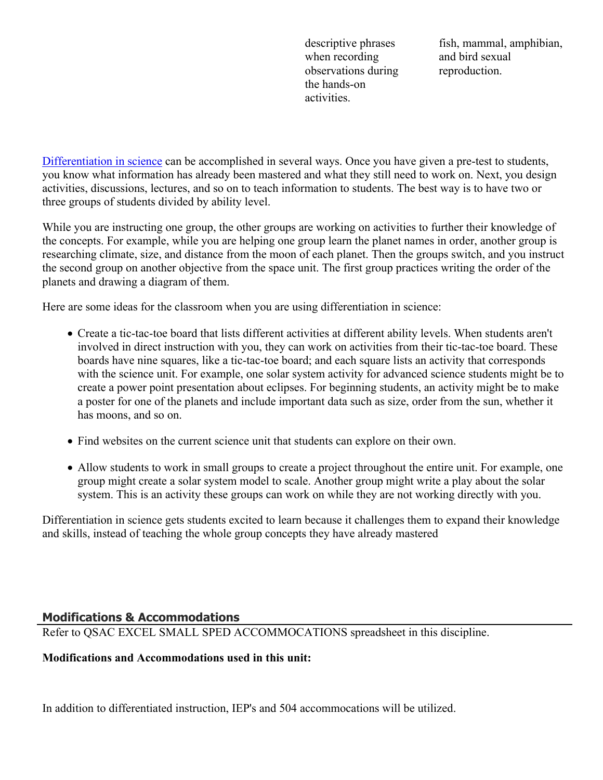descriptive phrases when recording observations during the hands-on activities.

fish, mammal, amphibian, and bird sexual reproduction.

[Differentiation in science](http://www.brighthubeducation.com/teaching-gifted-students/65181-differentiation-techniques-and-activities-in-the-classroom-for-gifted-students/) can be accomplished in several ways. Once you have given a pre-test to students, you know what information has already been mastered and what they still need to work on. Next, you design activities, discussions, lectures, and so on to teach information to students. The best way is to have two or three groups of students divided by ability level.

While you are instructing one group, the other groups are working on activities to further their knowledge of the concepts. For example, while you are helping one group learn the planet names in order, another group is researching climate, size, and distance from the moon of each planet. Then the groups switch, and you instruct the second group on another objective from the space unit. The first group practices writing the order of the planets and drawing a diagram of them.

Here are some ideas for the classroom when you are using differentiation in science:

- Create a tic-tac-toe board that lists different activities at different ability levels. When students aren't involved in direct instruction with you, they can work on activities from their tic-tac-toe board. These boards have nine squares, like a tic-tac-toe board; and each square lists an activity that corresponds with the science unit. For example, one solar system activity for advanced science students might be to create a power point presentation about eclipses. For beginning students, an activity might be to make a poster for one of the planets and include important data such as size, order from the sun, whether it has moons, and so on.
- Find websites on the current science unit that students can explore on their own.
- Allow students to work in small groups to create a project throughout the entire unit. For example, one group might create a solar system model to scale. Another group might write a play about the solar system. This is an activity these groups can work on while they are not working directly with you.

Differentiation in science gets students excited to learn because it challenges them to expand their knowledge and skills, instead of teaching the whole group concepts they have already mastered

#### **Modifications & Accommodations**

Refer to QSAC EXCEL SMALL SPED ACCOMMOCATIONS spreadsheet in this discipline.

#### **Modifications and Accommodations used in this unit:**

In addition to differentiated instruction, IEP's and 504 accommocations will be utilized.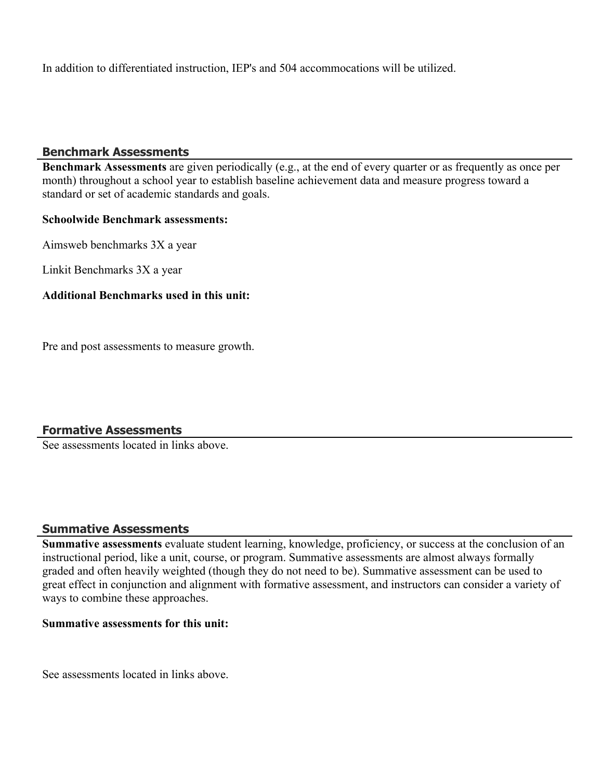In addition to differentiated instruction, IEP's and 504 accommocations will be utilized.

#### **Benchmark Assessments**

**Benchmark Assessments** are given periodically (e.g., at the end of every quarter or as frequently as once per month) throughout a school year to establish baseline achievement data and measure progress toward a standard or set of academic standards and goals.

#### **Schoolwide Benchmark assessments:**

Aimsweb benchmarks 3X a year

Linkit Benchmarks 3X a year

#### **Additional Benchmarks used in this unit:**

Pre and post assessments to measure growth.

#### **Formative Assessments**

See assessments located in links above.

#### **Summative Assessments**

**Summative assessments** evaluate student learning, knowledge, proficiency, or success at the conclusion of an instructional period, like a unit, course, or program. Summative assessments are almost always formally graded and often heavily weighted (though they do not need to be). Summative assessment can be used to great effect in conjunction and alignment with formative assessment, and instructors can consider a variety of ways to combine these approaches.

#### **Summative assessments for this unit:**

See assessments located in links above.